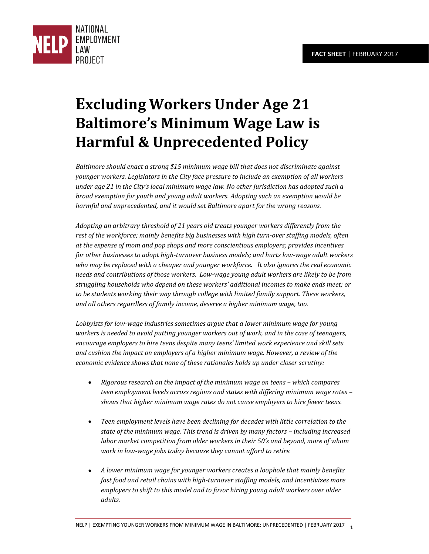

# **Excluding Workers Under Age 21 Baltimore's Minimum Wage Law is Harmful & Unprecedented Policy**

*Baltimore should enact a strong \$15 minimum wage bill that does not discriminate against younger workers. Legislators in the City face pressure to include an exemption of all workers under age 21 in the City's local minimum wage law. No other jurisdiction has adopted such a broad exemption for youth and young adult workers. Adopting such an exemption would be harmful and unprecedented, and it would set Baltimore apart for the wrong reasons.* 

*Adopting an arbitrary threshold of 21 years old treats younger workers differently from the*  rest of the workforce; mainly benefits big businesses with high turn-over staffing models, often *at the expense of mom and pop shops and more conscientious employers; provides incentives for other businesses to adopt high-turnover business models; and hurts low-wage adult workers who may be replaced with a cheaper and younger workforce. It also ignores the real economic needs and contributions of those workers. Low-wage young adult workers are likely to be from struggling households who depend on these workers' additional incomes to make ends meet; or to be students working their way through college with limited family support. These workers, and all others regardless of family income, deserve a higher minimum wage, too.* 

*Lobbyists for low-wage industries sometimes argue that a lower minimum wage for young workers is needed to avoid putting younger workers out of work, and in the case of teenagers, encourage employers to hire teens despite many teens' limited work experience and skill sets and cushion the impact on employers of a higher minimum wage. However, a review of the economic evidence shows that none of these rationales holds up under closer scrutiny:* 

- **•** Rigorous research on the impact of the minimum wage on teens which compares *teen employment levels across regions and states with differing minimum wage rates – shows that higher minimum wage rates do not cause employers to hire fewer teens.*
- *Teen employment levels have been declining for decades with little correlation to the state of the minimum wage. This trend is driven by many factors – including increased labor market competition from older workers in their 50's and beyond, more of whom work in low-wage jobs today because they cannot afford to retire.*
- *A lower minimum wage for younger workers creates a loophole that mainly benefits fast food and retail chains with high-turnover staffing models, and incentivizes more employers to shift to this model and to favor hiring young adult workers over older adults.*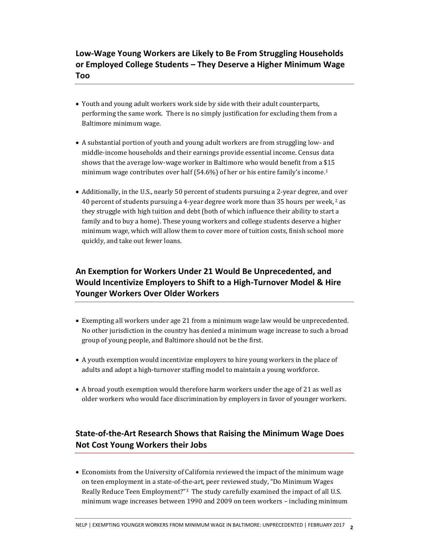**Low-Wage Young Workers are Likely to Be From Struggling Households or Employed College Students – They Deserve a Higher Minimum Wage Too** 

- Youth and young adult workers work side by side with their adult counterparts, performing the same work. There is no simply justification for excluding them from a Baltimore minimum wage.
- A substantial portion of youth and young adult workers are from struggling low- and middle-income households and their earnings provide essential income. Census data shows that the average low-wage worker in Baltimore who would benefit from a \$15 minimum wage contributes over half (54.6%) of her or his entire family's income. 1
- Additionally, in the U.S., nearly 50 percent of students pursuing a 2-year degree, and over 40 percent of students pursuing a 4-year degree work more than 35 hours per week,  $2$  as they struggle with high tuition and debt (both of which influence their ability to start a family and to buy a home). These young workers and college students deserve a higher minimum wage, which will allow them to cover more of tuition costs, finish school more quickly, and take out fewer loans.

## **An Exemption for Workers Under 21 Would Be Unprecedented, and Would Incentivize Employers to Shift to a High-Turnover Model & Hire Younger Workers Over Older Workers**

- Exempting all workers under age 21 from a minimum wage law would be unprecedented. No other jurisdiction in the country has denied a minimum wage increase to such a broad group of young people, and Baltimore should not be the first.
- A youth exemption would incentivize employers to hire young workers in the place of adults and adopt a high-turnover staffing model to maintain a young workforce.
- A broad youth exemption would therefore harm workers under the age of 21 as well as older workers who would face discrimination by employers in favor of younger workers.

## **State-of-the-Art Research Shows that Raising the Minimum Wage Does Not Cost Young Workers their Jobs**

 Economists from the University of California reviewed the impact of the minimum wage on teen employment in a state-of-the-art, peer reviewed study, "Do Minimum Wages Really Reduce Teen Employment?" <sup>3</sup> The study carefully examined the impact of all U.S. minimum wage increases between 1990 and 2009 on teen workers – including minimum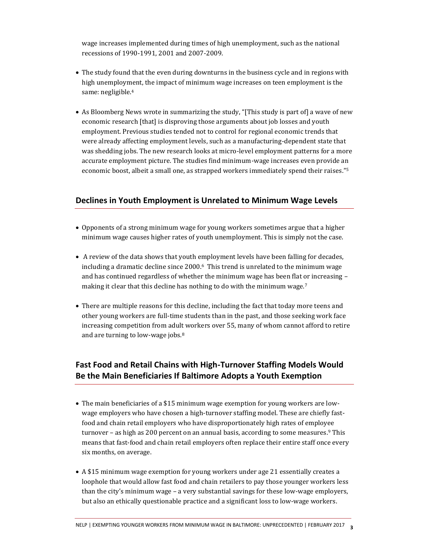wage increases implemented during times of high unemployment, such as the national recessions of 1990-1991, 2001 and 2007-2009.

- The study found that the even during downturns in the business cycle and in regions with high unemployment, the impact of minimum wage increases on teen employment is the same: negligible.<sup>4</sup>
- As Bloomberg News wrote in summarizing the study, "[This study is part of] a wave of new economic research [that] is disproving those arguments about job losses and youth employment. Previous studies tended not to control for regional economic trends that were already affecting employment levels, such as a manufacturing-dependent state that was shedding jobs. The new research looks at micro-level employment patterns for a more accurate employment picture. The studies find minimum-wage increases even provide an economic boost, albeit a small one, as strapped workers immediately spend their raises." 5

### **Declines in Youth Employment is Unrelated to Minimum Wage Levels**

- Opponents of a strong minimum wage for young workers sometimes argue that a higher minimum wage causes higher rates of youth unemployment. This is simply not the case.
- A review of the data shows that youth employment levels have been falling for decades, including a dramatic decline since 2000.6 This trend is unrelated to the minimum wage and has continued regardless of whether the minimum wage has been flat or increasing – making it clear that this decline has nothing to do with the minimum wage.<sup>7</sup>
- There are multiple reasons for this decline, including the fact that today more teens and other young workers are full-time students than in the past, and those seeking work face increasing competition from adult workers over 55, many of whom cannot afford to retire and are turning to low-wage jobs.<sup>8</sup>

## **Fast Food and Retail Chains with High-Turnover Staffing Models Would Be the Main Beneficiaries If Baltimore Adopts a Youth Exemption**

- The main beneficiaries of a \$15 minimum wage exemption for young workers are lowwage employers who have chosen a high-turnover staffing model. These are chiefly fastfood and chain retail employers who have disproportionately high rates of employee turnover – as high as 200 percent on an annual basis, according to some measures.<sup>9</sup> This means that fast-food and chain retail employers often replace their entire staff once every six months, on average.
- A \$15 minimum wage exemption for young workers under age 21 essentially creates a loophole that would allow fast food and chain retailers to pay those younger workers less than the city's minimum wage – a very substantial savings for these low-wage employers, but also an ethically questionable practice and a significant loss to low-wage workers.